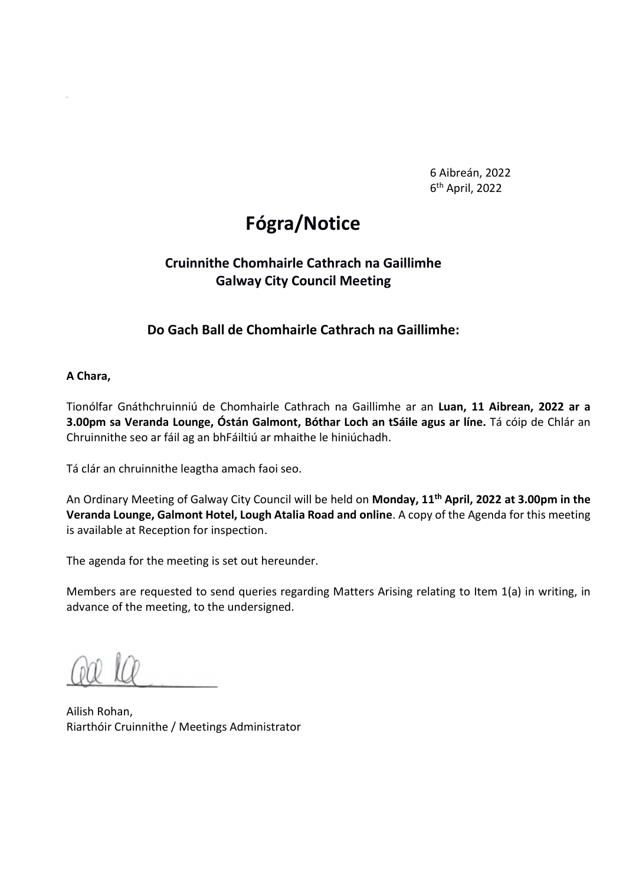6 Aibreán, 2022 6th April, 2022

# Fógra/Notice

### Cruinnithe Chomhairle Cathrach na Gaillimhe Galway City Council Meeting

### Do Gach Ball de Chomhairle Cathrach na Gaillimhe:

#### A Chara,

Tionólfar Gnáthchruinniú de Chomhairle Cathrach na Gaillimhe ar an Luan, 11 Aibrean, 2022 ar a 3.00pm sa Veranda Lounge, Óstán Galmont, Bóthar Loch an tSáile agus ar líne. Tá cóip de Chlár an Chruinnithe seo ar fáil ag an bhFáiltiú ar mhaithe le hiniúchadh.

Tá clár an chruinnithe leagtha amach faoi seo.

An Ordinary Meeting of Galway City Council will be held on Monday, 11<sup>th</sup> April, 2022 at 3.00pm in the Veranda Lounge, Galmont Hotel, Lough Atalia Road and online. A copy of the Agenda for this meeting is available at Reception for inspection.

The agenda for the meeting is set out hereunder.

Members are requested to send queries regarding Matters Arising relating to Item 1(a) in writing, in advance of the meeting, to the undersigned.

Ailish Rohan, Riarthóir Cruinnithe / Meetings Administrator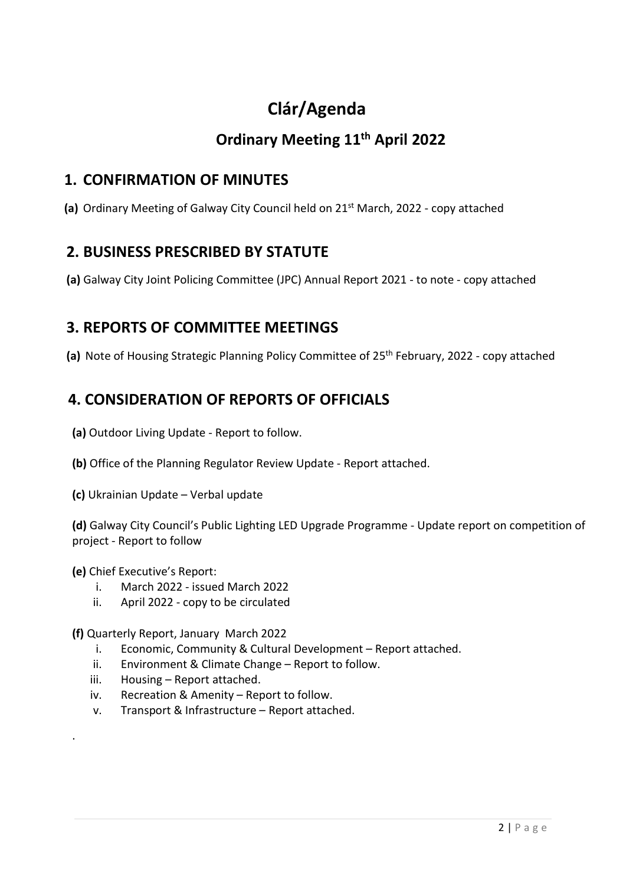# Clár/Agenda

## Ordinary Meeting 11<sup>th</sup> April 2022

### 1. CONFIRMATION OF MINUTES

(a) Ordinary Meeting of Galway City Council held on 21<sup>st</sup> March, 2022 - copy attached

### 2. BUSINESS PRESCRIBED BY STATUTE

(a) Galway City Joint Policing Committee (JPC) Annual Report 2021 - to note - copy attached

### 3. REPORTS OF COMMITTEE MEETINGS

(a) Note of Housing Strategic Planning Policy Committee of 25<sup>th</sup> February, 2022 - copy attached

### 4. CONSIDERATION OF REPORTS OF OFFICIALS

- (a) Outdoor Living Update Report to follow.
- (b) Office of the Planning Regulator Review Update Report attached.
- (c) Ukrainian Update Verbal update

(d) Galway City Council's Public Lighting LED Upgrade Programme - Update report on competition of project - Report to follow

#### (e) Chief Executive's Report:

.

- i. March 2022 issued March 2022
- ii. April 2022 copy to be circulated

(f) Quarterly Report, January March 2022

- i. Economic, Community & Cultural Development Report attached.
- ii. Environment & Climate Change Report to follow.
- iii. Housing Report attached.
- iv. Recreation & Amenity Report to follow.
- v. Transport & Infrastructure Report attached.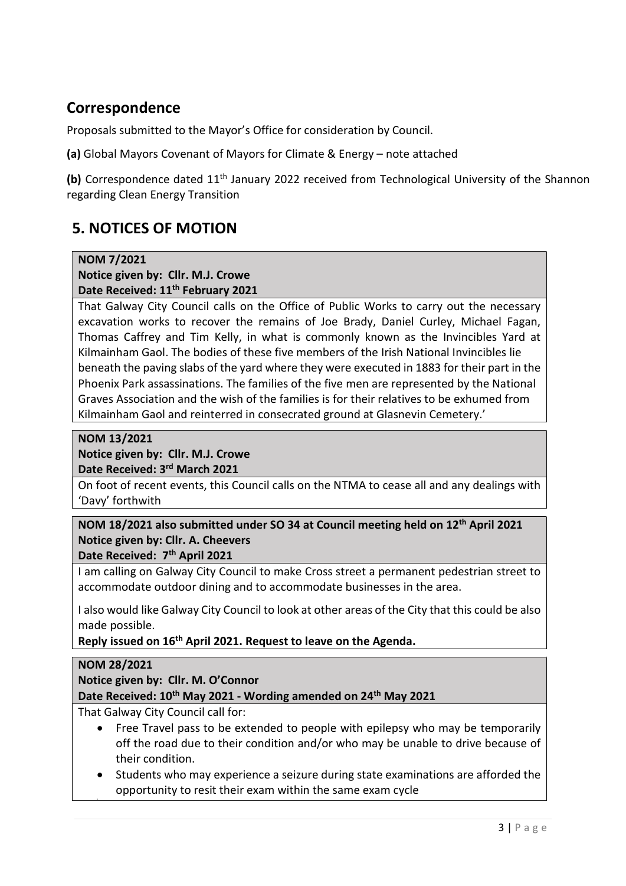### Correspondence

Proposals submitted to the Mayor's Office for consideration by Council.

(a) Global Mayors Covenant of Mayors for Climate & Energy – note attached

(b) Correspondence dated 11<sup>th</sup> January 2022 received from Technological University of the Shannon regarding Clean Energy Transition

## 5. NOTICES OF MOTION

#### NOM 7/2021

#### Notice given by: Cllr. M.J. Crowe Date Received: 11<sup>th</sup> February 2021

That Galway City Council calls on the Office of Public Works to carry out the necessary excavation works to recover the remains of Joe Brady, Daniel Curley, Michael Fagan, Thomas Caffrey and Tim Kelly, in what is commonly known as the Invincibles Yard at Kilmainham Gaol. The bodies of these five members of the Irish National Invincibles lie beneath the paving slabs of the yard where they were executed in 1883 for their part in the Phoenix Park assassinations. The families of the five men are represented by the National Graves Association and the wish of the families is for their relatives to be exhumed from Kilmainham Gaol and reinterred in consecrated ground at Glasnevin Cemetery.'

#### NOM 13/2021

# Notice given by: Cllr. M.J. Crowe

Date Received: 3rd March 2021

On foot of recent events, this Council calls on the NTMA to cease all and any dealings with 'Davy' forthwith

#### NOM 18/2021 also submitted under SO 34 at Council meeting held on 12th April 2021 Notice given by: Cllr. A. Cheevers Date Received: 7<sup>th</sup> April 2021

I am calling on Galway City Council to make Cross street a permanent pedestrian street to accommodate outdoor dining and to accommodate businesses in the area.

I also would like Galway City Council to look at other areas of the City that this could be also made possible.

Reply issued on 16th April 2021. Request to leave on the Agenda.

#### NOM 28/2021

Notice given by: Cllr. M. O'Connor

Date Received: 10<sup>th</sup> May 2021 - Wording amended on 24<sup>th</sup> May 2021

That Galway City Council call for:

- Free Travel pass to be extended to people with epilepsy who may be temporarily off the road due to their condition and/or who may be unable to drive because of their condition.
- Students who may experience a seizure during state examinations are afforded the opportunity to resit their exam within the same exam cycle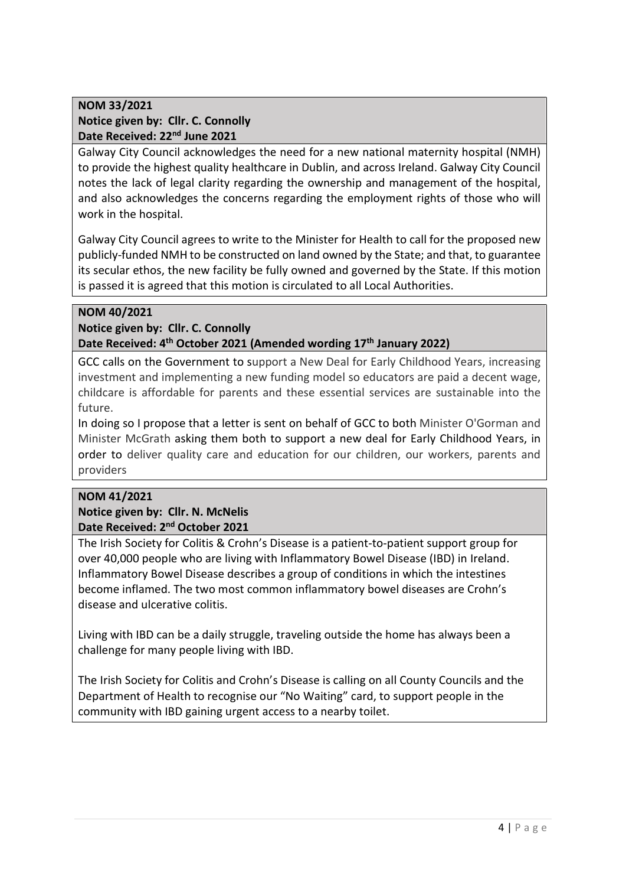#### NOM 33/2021 Notice given by: Cllr. C. Connolly Date Received: 22<sup>nd</sup> June 2021

Galway City Council acknowledges the need for a new national maternity hospital (NMH) to provide the highest quality healthcare in Dublin, and across Ireland. Galway City Council notes the lack of legal clarity regarding the ownership and management of the hospital, and also acknowledges the concerns regarding the employment rights of those who will work in the hospital.

Galway City Council agrees to write to the Minister for Health to call for the proposed new publicly-funded NMH to be constructed on land owned by the State; and that, to guarantee its secular ethos, the new facility be fully owned and governed by the State. If this motion is passed it is agreed that this motion is circulated to all Local Authorities.

#### NOM 40/2021

Notice given by: Cllr. C. Connolly Date Received: 4<sup>th</sup> October 2021 (Amended wording 17<sup>th</sup> January 2022)

GCC calls on the Government to support a New Deal for Early Childhood Years, increasing investment and implementing a new funding model so educators are paid a decent wage, childcare is affordable for parents and these essential services are sustainable into the future.

In doing so I propose that a letter is sent on behalf of GCC to both Minister O'Gorman and Minister McGrath asking them both to support a new deal for Early Childhood Years, in order to deliver quality care and education for our children, our workers, parents and providers

#### NOM 41/2021

#### Notice given by: Cllr. N. McNelis Date Received: 2<sup>nd</sup> October 2021

The Irish Society for Colitis & Crohn's Disease is a patient-to-patient support group for over 40,000 people who are living with Inflammatory Bowel Disease (IBD) in Ireland. Inflammatory Bowel Disease describes a group of conditions in which the intestines become inflamed. The two most common inflammatory bowel diseases are Crohn's disease and ulcerative colitis.

Living with IBD can be a daily struggle, traveling outside the home has always been a challenge for many people living with IBD.

The Irish Society for Colitis and Crohn's Disease is calling on all County Councils and the Department of Health to recognise our "No Waiting" card, to support people in the community with IBD gaining urgent access to a nearby toilet.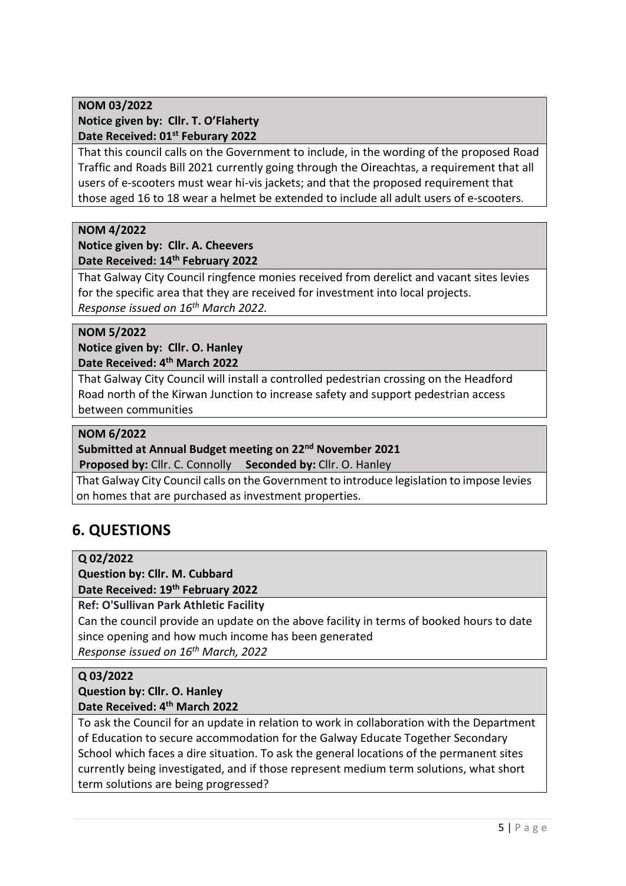#### NOM 03/2022 Notice given by: Cllr. T. O'Flaherty Date Received: 01<sup>st</sup> Feburary 2022

That this council calls on the Government to include, in the wording of the proposed Road Traffic and Roads Bill 2021 currently going through the Oireachtas, a requirement that all users of e-scooters must wear hi-vis jackets; and that the proposed requirement that those aged 16 to 18 wear a helmet be extended to include all adult users of e-scooters.

#### NOM 4/2022

#### Notice given by: Cllr. A. Cheevers Date Received: 14<sup>th</sup> February 2022

That Galway City Council ringfence monies received from derelict and vacant sites levies for the specific area that they are received for investment into local projects. Response issued on 16<sup>th</sup> March 2022.

#### NOM 5/2022

Notice given by: Cllr. O. Hanley Date Received: 4th March 2022

That Galway City Council will install a controlled pedestrian crossing on the Headford Road north of the Kirwan Junction to increase safety and support pedestrian access between communities

#### NOM 6/2022

#### Submitted at Annual Budget meeting on 22<sup>nd</sup> November 2021

Proposed by: Cllr. C. Connolly Seconded by: Cllr. O. Hanley

 That Galway City Council calls on the Government to introduce legislation to impose levies on homes that are purchased as investment properties.

### 6. QUESTIONS

#### Q 02/2022

#### Question by: Cllr. M. Cubbard Date Received: 19th February 2022

Ref: O'Sullivan Park Athletic Facility

Can the council provide an update on the above facility in terms of booked hours to date since opening and how much income has been generated Response issued on 16th March, 2022

#### Q 03/2022

#### Question by: Cllr. O. Hanley Date Received: 4<sup>th</sup> March 2022

To ask the Council for an update in relation to work in collaboration with the Department of Education to secure accommodation for the Galway Educate Together Secondary School which faces a dire situation. To ask the general locations of the permanent sites currently being investigated, and if those represent medium term solutions, what short term solutions are being progressed?